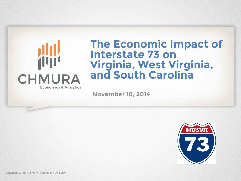

#### **The Economic Impact of Interstate 73 on Virginia, West Virginia, and South Carolina**

**November 10, 2014**

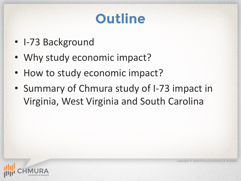# **Outline**

- I-73 Background
- Why study economic impact?
- How to study economic impact?
- Summary of Chmura study of I-73 impact in Virginia, West Virginia and South Carolina

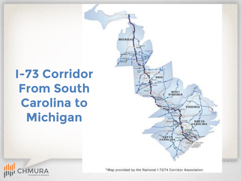# **I-73 Corridor From South Carolina to Michigan**





\*Map provided by the National I-73/74 Corridor Association

s & Analytics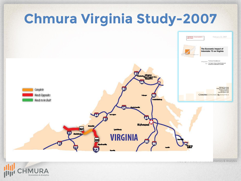

**Economics & Analytics** 

onomics & Analytics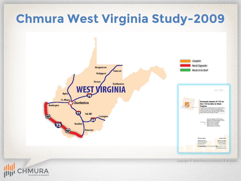## **Chmura West Virginia Study-2009**



Copyright © 2014 Chmura Economics & Analytics

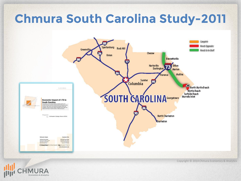## **Chmura South Carolina Study-2011**



**Economics & Analytics** 

Copyright © 2014 Chmura Economics & Analytics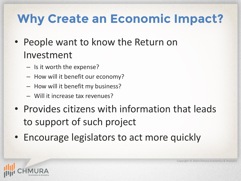## **Why Create an Economic Impact?**

- People want to know the Return on Investment
	- Is it worth the expense?
	- How will it benefit our economy?
	- How will it benefit my business?
	- Will it increase tax revenues?
- Provides citizens with information that leads to support of such project
- Encourage legislators to act more quickly

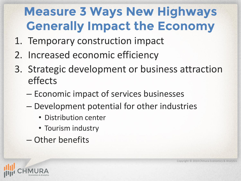# **Measure 3 Ways New Highways Generally Impact the Economy**

- 1. Temporary construction impact
- 2. Increased economic efficiency
- 3. Strategic development or business attraction effects
	- Economic impact of services businesses
	- Development potential for other industries
		- Distribution center
		- Tourism industry
	- Other benefits

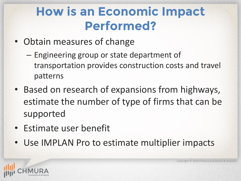#### **How is an Economic Impact Performed?**

- Obtain measures of change
	- Engineering group or state department of transportation provides construction costs and travel patterns
- Based on research of expansions from highways, estimate the number of type of firms that can be supported
- Estimate user benefit
- Use IMPLAN Pro to estimate multiplier impacts

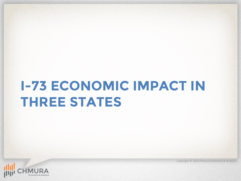# **I-73 ECONOMIC IMPACT IN THREE STATES**



Copyright © 2014 Chmura Economics & Analytics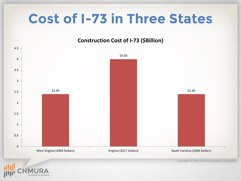# **Cost of I-73 in Three States**

#### **Construction Cost of I-73 (\$Billion)**

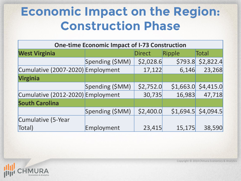#### **Economic Impact on the Region: Construction Phase**

| <b>One-time Economic Impact of I-73 Construction</b> |                 |           |         |                       |  |
|------------------------------------------------------|-----------------|-----------|---------|-----------------------|--|
| <b>West Virginia</b>                                 |                 | Direct    | Ripple  | Total                 |  |
|                                                      | Spending (\$MM) | \$2,028.6 | \$793.8 | \$2,822.4             |  |
| Cumulative (2007-2020) Employment                    |                 | 17,122    | 6,146   | 23,268                |  |
| <b>Virginia</b>                                      |                 |           |         |                       |  |
|                                                      | Spending (\$MM) | \$2,752.0 |         | $$1,663.0$ $$4,415.0$ |  |
| Cumulative (2012-2020) Employment                    |                 | 30,735    | 16,983  | 47,718                |  |
| <b>South Carolina</b>                                |                 |           |         |                       |  |
|                                                      | Spending (\$MM) | \$2,400.0 |         | $$1,694.5$ \$4,094.5  |  |
| Cumulative (5-Year                                   |                 |           |         |                       |  |
| Total)                                               | Employment      | 23,415    | 15,175  | 38,590                |  |

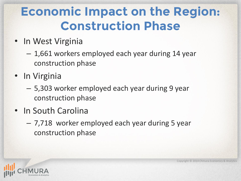#### **Economic Impact on the Region: Construction Phase**

- In West Virginia
	- 1,661 workers employed each year during 14 year construction phase
- In Virginia
	- 5,303 worker employed each year during 9 year construction phase
- In South Carolina
	- 7,718 worker employed each year during 5 year construction phase

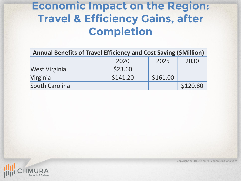#### **Economic Impact on the Region: Travel & Efficiency Gains, after Completion**

| Annual Benefits of Travel Efficiency and Cost Saving (\$Million) |          |          |          |  |  |
|------------------------------------------------------------------|----------|----------|----------|--|--|
|                                                                  | 2020     | 2025     | 2030     |  |  |
| <b>West Virginia</b>                                             | \$23.60  |          |          |  |  |
| Virginia                                                         | \$141.20 | \$161.00 |          |  |  |
| South Carolina                                                   |          |          | \$120.80 |  |  |



Copyright © 2014 Chmura Economics & Analytics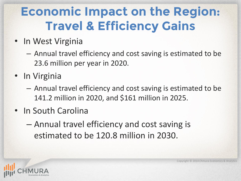## **Economic Impact on the Region: Travel & Efficiency Gains**

- In West Virginia
	- Annual travel efficiency and cost saving is estimated to be 23.6 million per year in 2020.
- In Virginia
	- Annual travel efficiency and cost saving is estimated to be 141.2 million in 2020, and \$161 million in 2025.
- In South Carolina
	- Annual travel efficiency and cost saving is estimated to be 120.8 million in 2030.

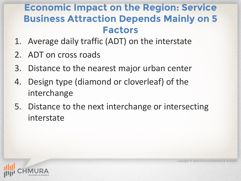#### **Economic Impact on the Region: Service Business Attraction Depends Mainly on 5 Factors**

- 1. Average daily traffic (ADT) on the interstate
- 2. ADT on cross roads
- 3. Distance to the nearest major urban center
- 4. Design type (diamond or cloverleaf) of the interchange
- 5. Distance to the next interchange or intersecting interstate

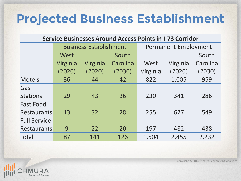#### **Projected Business Establishment**

| <b>Service Businesses Around Access Points in I-73 Corridor</b> |                               |          |          |                             |          |          |
|-----------------------------------------------------------------|-------------------------------|----------|----------|-----------------------------|----------|----------|
|                                                                 | <b>Business Establishment</b> |          |          | <b>Permanent Employment</b> |          |          |
|                                                                 | West                          |          | South    |                             |          | South    |
|                                                                 | Virginia                      | Virginia | Carolina | West                        | Virginia | Carolina |
|                                                                 | (2020)                        | (2020)   | (2030)   | Virginia                    | (2020)   | (2030)   |
| Motels                                                          | 36                            | 44       | 42       | 822                         | 1,005    | 959      |
| Gas                                                             |                               |          |          |                             |          |          |
| Stations                                                        | 29                            | 43       | 36       | 230                         | 341      | 286      |
| <b>Fast Food</b>                                                |                               |          |          |                             |          |          |
| Restaurants                                                     | 13                            | 32       | 28       | 255                         | 627      | 549      |
| <b>Full Service</b>                                             |                               |          |          |                             |          |          |
| Restaurants                                                     | 9                             | 22       | 20       | 197                         | 482      | 438      |
| Total                                                           | 87                            | 141      | 126      | 1,504                       | 2,455    | 2,232    |

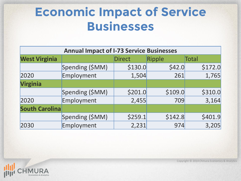#### **Economic Impact of Service Businesses**

| <b>Annual Impact of I-73 Service Businesses</b> |                 |               |         |         |  |
|-------------------------------------------------|-----------------|---------------|---------|---------|--|
| <b>West Virginia</b>                            |                 | <b>Direct</b> | Ripple  | Total   |  |
|                                                 | Spending (\$MM) | \$130.0       | \$42.0  | \$172.0 |  |
| 2020                                            | Employment      | 1,504         | 261     | 1,765   |  |
| <b>Virginia</b>                                 |                 |               |         |         |  |
|                                                 | Spending (\$MM) | \$201.0       | \$109.0 | \$310.0 |  |
| 2020                                            | Employment      | 2,455         | 709     | 3,164   |  |
| <b>South Carolina</b>                           |                 |               |         |         |  |
|                                                 | Spending (\$MM) | \$259.1       | \$142.8 | \$401.9 |  |
| 2030                                            | Employment      | 2,231         | 974     | 3,205   |  |

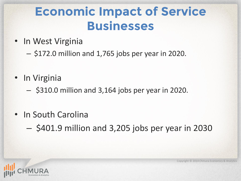#### **Economic Impact of Service Businesses**

- In West Virginia
	- \$172.0 million and 1,765 jobs per year in 2020.
- In Virginia
	- \$310.0 million and 3,164 jobs per year in 2020.
- In South Carolina
	- \$401.9 million and 3,205 jobs per year in 2030

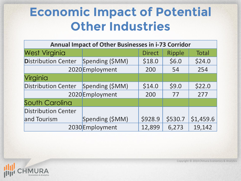#### **Economic Impact of Potential Other Industries**

| <b>Annual Impact of Other Businesses in i-73 Corridor</b> |                 |               |               |              |  |
|-----------------------------------------------------------|-----------------|---------------|---------------|--------------|--|
| <b>West Virginia</b>                                      |                 | <b>Direct</b> | <b>Ripple</b> | <b>Total</b> |  |
| <b>Distribution Center</b><br>Spending (\$MM)             |                 | \$18.0        | \$6.0         | \$24.0       |  |
|                                                           | 2020 Employment | 200           | 54            | 254          |  |
| Virginia                                                  |                 |               |               |              |  |
| <b>Distribution Center</b>                                | Spending (\$MM) | \$14.0        | \$9.0         | \$22.0       |  |
|                                                           | 2020 Employment | 200           | 77            | 277          |  |
| South Carolina                                            |                 |               |               |              |  |
| <b>Distribution Center</b>                                |                 |               |               |              |  |
| and Tourism                                               | Spending (\$MM) | \$928.9       | \$530.7       | \$1,459.6    |  |
|                                                           | 2030 Employment | 12,899        | 6,273         | 19,142       |  |

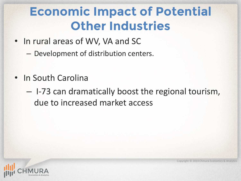#### **Economic Impact of Potential Other Industries**

- In rural areas of WV, VA and SC
	- Development of distribution centers.
- In South Carolina
	- I-73 can dramatically boost the regional tourism, due to increased market access

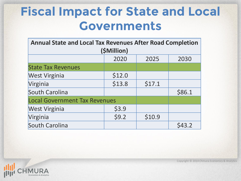#### **Fiscal Impact for State and Local Governments**

| <b>Annual State and Local Tax Revenues After Road Completion</b><br>(\$Million) |        |        |        |  |  |
|---------------------------------------------------------------------------------|--------|--------|--------|--|--|
|                                                                                 | 2020   | 2025   | 2030   |  |  |
| <b>State Tax Revenues</b>                                                       |        |        |        |  |  |
| <b>West Virginia</b>                                                            | \$12.0 |        |        |  |  |
| Virginia                                                                        | \$13.8 | \$17.1 |        |  |  |
| South Carolina                                                                  |        |        | \$86.1 |  |  |
| <b>Local Government Tax Revenues</b>                                            |        |        |        |  |  |
| <b>West Virginia</b>                                                            | \$3.9  |        |        |  |  |
| Virginia                                                                        | \$9.2  | \$10.9 |        |  |  |
| South Carolina                                                                  |        |        | \$43.2 |  |  |

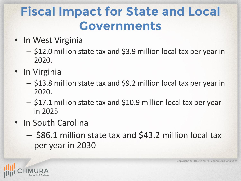#### **Fiscal Impact for State and Local Governments**

- In West Virginia
	- \$12.0 million state tax and \$3.9 million local tax per year in 2020.
- In Virginia
	- \$13.8 million state tax and \$9.2 million local tax per year in 2020.
	- \$17.1 million state tax and \$10.9 million local tax per year in 2025
- In South Carolina
	- \$86.1 million state tax and \$43.2 million local tax per year in 2030

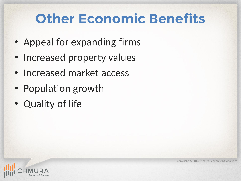# **Other Economic Benefits**

- Appeal for expanding firms
- Increased property values
- Increased market access
- Population growth
- Quality of life

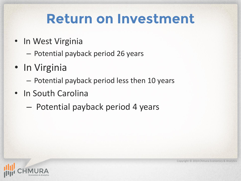## **Return on Investment**

- In West Virginia
	- Potential payback period 26 years
- In Virginia
	- Potential payback period less then 10 years
- In South Carolina
	- Potential payback period 4 years